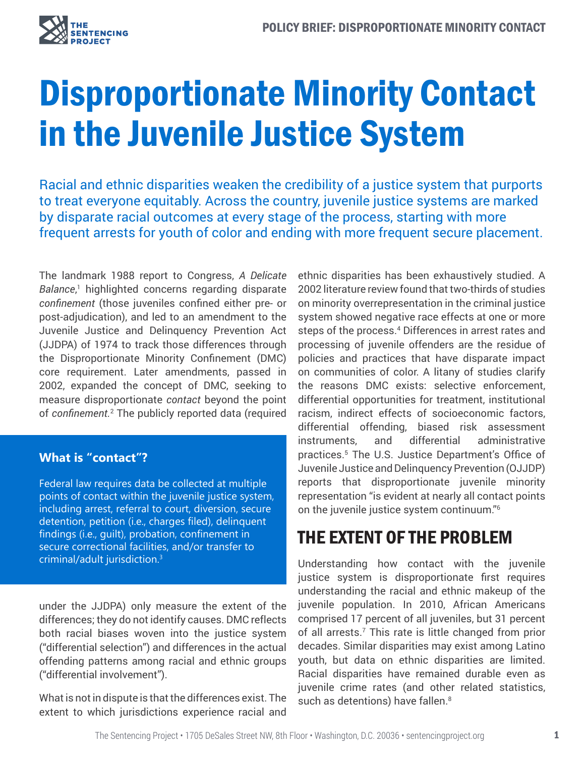

# Disproportionate Minority Contact in the Juvenile Justice System

Racial and ethnic disparities weaken the credibility of a justice system that purports to treat everyone equitably. Across the country, juvenile justice systems are marked by disparate racial outcomes at every stage of the process, starting with more frequent arrests for youth of color and ending with more frequent secure placement.

The landmark 1988 report to Congress, *A Delicate*  Balance,<sup>1</sup> highlighted concerns regarding disparate *confinement* (those juveniles confined either pre- or post-adjudication), and led to an amendment to the Juvenile Justice and Delinquency Prevention Act (JJDPA) of 1974 to track those differences through the Disproportionate Minority Confinement (DMC) core requirement. Later amendments, passed in 2002, expanded the concept of DMC, seeking to measure disproportionate *contact* beyond the point of *confinement.*<sup>2</sup> The publicly reported data (required

#### **What is "contact"?**

Federal law requires data be collected at multiple points of contact within the juvenile justice system, including arrest, referral to court, diversion, secure detention, petition (i.e., charges filed), delinquent findings (i.e., guilt), probation, confinement in secure correctional facilities, and/or transfer to criminal/adult jurisdiction.3

under the JJDPA) only measure the extent of the differences; they do not identify causes. DMC reflects both racial biases woven into the justice system ("differential selection") and differences in the actual offending patterns among racial and ethnic groups ("differential involvement").

What is not in dispute is that the differences exist. The extent to which jurisdictions experience racial and ethnic disparities has been exhaustively studied. A 2002 literature review found that two-thirds of studies on minority overrepresentation in the criminal justice system showed negative race effects at one or more steps of the process.<sup>4</sup> Differences in arrest rates and processing of juvenile offenders are the residue of policies and practices that have disparate impact on communities of color. A litany of studies clarify the reasons DMC exists: selective enforcement, differential opportunities for treatment, institutional racism, indirect effects of socioeconomic factors, differential offending, biased risk assessment instruments, and differential administrative practices.5 The U.S. Justice Department's Office of Juvenile Justice and Delinquency Prevention (OJJDP) reports that disproportionate juvenile minority representation "is evident at nearly all contact points on the juvenile justice system continuum."6

### THE EXTENT OF THE PROBLEM

Understanding how contact with the juvenile justice system is disproportionate first requires understanding the racial and ethnic makeup of the juvenile population. In 2010, African Americans comprised 17 percent of all juveniles, but 31 percent of all arrests.<sup>7</sup> This rate is little changed from prior decades. Similar disparities may exist among Latino youth, but data on ethnic disparities are limited. Racial disparities have remained durable even as juvenile crime rates (and other related statistics, such as detentions) have fallen.<sup>8</sup>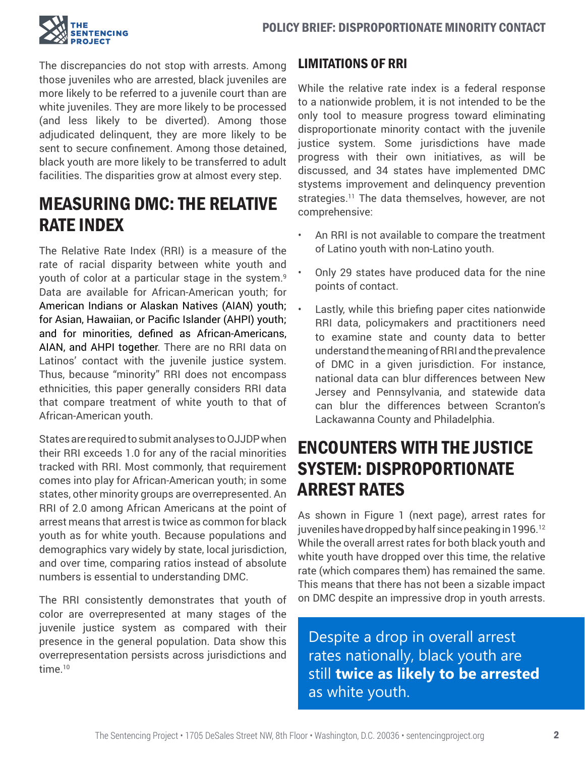

The discrepancies do not stop with arrests. Among those juveniles who are arrested, black juveniles are more likely to be referred to a juvenile court than are white juveniles. They are more likely to be processed (and less likely to be diverted). Among those adjudicated delinquent, they are more likely to be sent to secure confinement. Among those detained, black youth are more likely to be transferred to adult facilities. The disparities grow at almost every step.

# MEASURING DMC: THE RELATIVE RATE INDEX

The Relative Rate Index (RRI) is a measure of the rate of racial disparity between white youth and youth of color at a particular stage in the system.<sup>9</sup> Data are available for African-American youth; for American Indians or Alaskan Natives (AIAN) youth; for Asian, Hawaiian, or Pacific Islander (AHPI) youth; and for minorities, defined as African-Americans, AIAN, and AHPI together. There are no RRI data on Latinos' contact with the juvenile justice system. Thus, because "minority" RRI does not encompass ethnicities, this paper generally considers RRI data that compare treatment of white youth to that of African-American youth.

States are required to submit analyses to OJJDP when their RRI exceeds 1.0 for any of the racial minorities tracked with RRI. Most commonly, that requirement comes into play for African-American youth; in some states, other minority groups are overrepresented. An RRI of 2.0 among African Americans at the point of arrest means that arrest is twice as common for black youth as for white youth. Because populations and demographics vary widely by state, local jurisdiction, and over time, comparing ratios instead of absolute numbers is essential to understanding DMC.

The RRI consistently demonstrates that youth of color are overrepresented at many stages of the juvenile justice system as compared with their presence in the general population. Data show this overrepresentation persists across jurisdictions and time.<sup>10</sup>

### LIMITATIONS OF RRI

While the relative rate index is a federal response to a nationwide problem, it is not intended to be the only tool to measure progress toward eliminating disproportionate minority contact with the juvenile justice system. Some jurisdictions have made progress with their own initiatives, as will be discussed, and 34 states have implemented DMC stystems improvement and delinquency prevention strategies.<sup>11</sup> The data themselves, however, are not comprehensive:

- An RRI is not available to compare the treatment of Latino youth with non-Latino youth.
- Only 29 states have produced data for the nine points of contact.
- Lastly, while this briefing paper cites nationwide RRI data, policymakers and practitioners need to examine state and county data to better understand the meaning of RRI and the prevalence of DMC in a given jurisdiction. For instance, national data can blur differences between New Jersey and Pennsylvania, and statewide data can blur the differences between Scranton's Lackawanna County and Philadelphia.

# ENCOUNTERS WITH THE JUSTICE SYSTEM: DISPROPORTIONATE ARREST RATES

As shown in Figure 1 (next page), arrest rates for juveniles have dropped by half since peaking in 1996.<sup>12</sup> While the overall arrest rates for both black youth and white youth have dropped over this time, the relative rate (which compares them) has remained the same. This means that there has not been a sizable impact on DMC despite an impressive drop in youth arrests.

Despite a drop in overall arrest rates nationally, black youth are still **twice as likely to be arrested**  as white youth.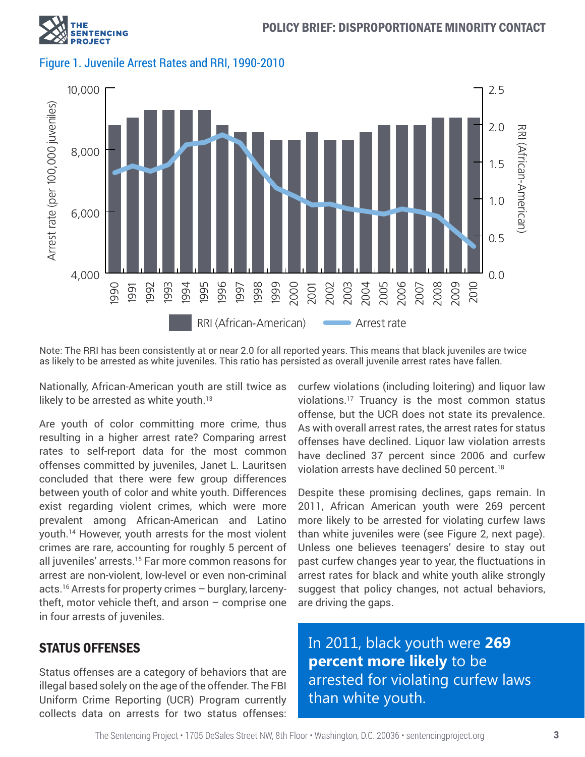





Note: The RRI has been consistently at or near 2.0 for all reported years. This means that black juveniles are twice as likely to be arrested as white juveniles. This ratio has persisted as overall juvenile arrest rates have fallen.

Nationally, African-American youth are still twice as likely to be arrested as white youth.<sup>13</sup>

Are youth of color committing more crime, thus resulting in a higher arrest rate? Comparing arrest rates to self-report data for the most common offenses committed by juveniles, Janet L. Lauritsen concluded that there were few group differences between youth of color and white youth. Differences exist regarding violent crimes, which were more prevalent among African-American and Latino youth.<sup>14</sup> However, youth arrests for the most violent crimes are rare, accounting for roughly 5 percent of all juveniles' arrests.<sup>15</sup> Far more common reasons for arrest are non-violent, low-level or even non-criminal acts.16 Arrests for property crimes – burglary, larcenytheft, motor vehicle theft, and arson – comprise one in four arrests of juveniles.

#### STATUS OFFENSES

Status offenses are a category of behaviors that are illegal based solely on the age of the offender. The FBI Uniform Crime Reporting (UCR) Program currently collects data on arrests for two status offenses:

curfew violations (including loitering) and liquor law violations.<sup>17</sup> Truancy is the most common status offense, but the UCR does not state its prevalence. As with overall arrest rates, the arrest rates for status offenses have declined. Liquor law violation arrests have declined 37 percent since 2006 and curfew violation arrests have declined 50 percent.<sup>18</sup>

Despite these promising declines, gaps remain. In 2011, African American youth were 269 percent more likely to be arrested for violating curfew laws than white juveniles were (see Figure 2, next page). Unless one believes teenagers' desire to stay out past curfew changes year to year, the fluctuations in arrest rates for black and white youth alike strongly suggest that policy changes, not actual behaviors, are driving the gaps.

In 2011, black youth were **269 percent more likely** to be arrested for violating curfew laws than white youth.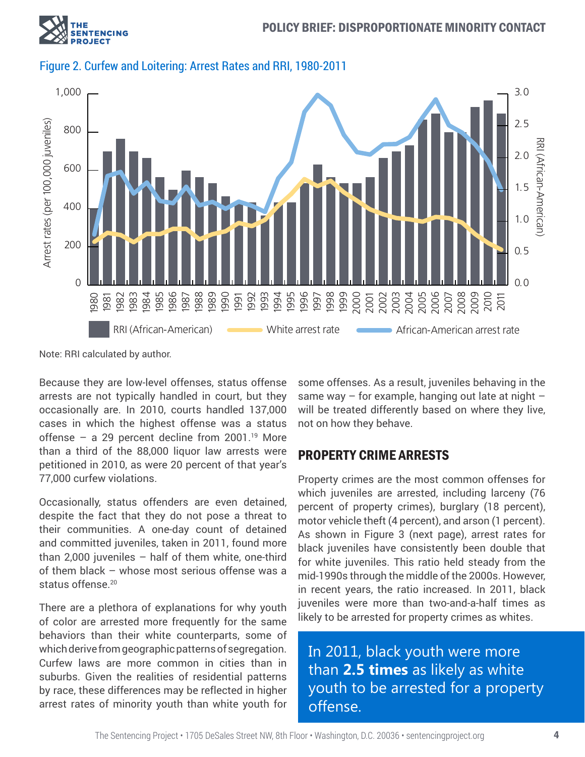



#### Figure 2. Curfew and Loitering: Arrest Rates and RRI, 1980-2011

Note: RRI calculated by author.

Because they are low-level offenses, status offense arrests are not typically handled in court, but they occasionally are. In 2010, courts handled 137,000 cases in which the highest offense was a status offense – a 29 percent decline from 2001.<sup>19</sup> More than a third of the 88,000 liquor law arrests were petitioned in 2010, as were 20 percent of that year's 77,000 curfew violations.

Occasionally, status offenders are even detained, despite the fact that they do not pose a threat to their communities. A one-day count of detained and committed juveniles, taken in 2011, found more than 2,000 juveniles – half of them white, one-third of them black – whose most serious offense was a status offense.<sup>20</sup>

There are a plethora of explanations for why youth of color are arrested more frequently for the same behaviors than their white counterparts, some of which derive from geographic patterns of segregation. Curfew laws are more common in cities than in suburbs. Given the realities of residential patterns by race, these differences may be reflected in higher arrest rates of minority youth than white youth for

some offenses. As a result, juveniles behaving in the same way  $-$  for example, hanging out late at night  $$ will be treated differently based on where they live, not on how they behave.

#### PROPERTY CRIME ARRESTS

Property crimes are the most common offenses for which juveniles are arrested, including larceny (76 percent of property crimes), burglary (18 percent), motor vehicle theft (4 percent), and arson (1 percent). As shown in Figure 3 (next page), arrest rates for black juveniles have consistently been double that for white juveniles. This ratio held steady from the mid-1990s through the middle of the 2000s. However, in recent years, the ratio increased. In 2011, black juveniles were more than two-and-a-half times as likely to be arrested for property crimes as whites.

In 2011, black youth were more than **2.5 times** as likely as white youth to be arrested for a property offense.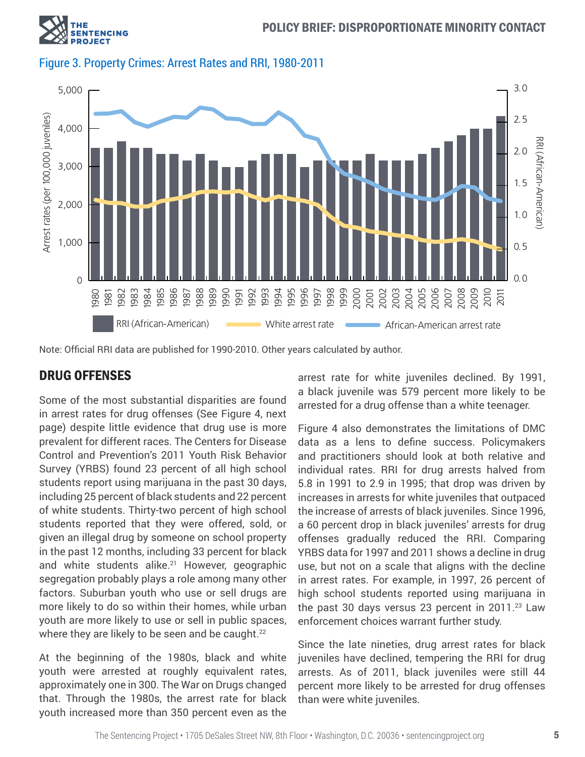





Note: Official RRI data are published for 1990-2010. Other years calculated by author.

### DRUG OFFENSES

Some of the most substantial disparities are found in arrest rates for drug offenses (See Figure 4, next page) despite little evidence that drug use is more prevalent for different races. The Centers for Disease Control and Prevention's 2011 Youth Risk Behavior Survey (YRBS) found 23 percent of all high school students report using marijuana in the past 30 days, including 25 percent of black students and 22 percent of white students. Thirty-two percent of high school students reported that they were offered, sold, or given an illegal drug by someone on school property in the past 12 months, including 33 percent for black and white students alike.<sup>21</sup> However, geographic segregation probably plays a role among many other factors. Suburban youth who use or sell drugs are more likely to do so within their homes, while urban youth are more likely to use or sell in public spaces, where they are likely to be seen and be caught.<sup>22</sup>

At the beginning of the 1980s, black and white youth were arrested at roughly equivalent rates, approximately one in 300. The War on Drugs changed that. Through the 1980s, the arrest rate for black youth increased more than 350 percent even as the

arrest rate for white juveniles declined. By 1991, a black juvenile was 579 percent more likely to be arrested for a drug offense than a white teenager.

Figure 4 also demonstrates the limitations of DMC data as a lens to define success. Policymakers and practitioners should look at both relative and individual rates. RRI for drug arrests halved from 5.8 in 1991 to 2.9 in 1995; that drop was driven by increases in arrests for white juveniles that outpaced the increase of arrests of black juveniles. Since 1996, a 60 percent drop in black juveniles' arrests for drug offenses gradually reduced the RRI. Comparing YRBS data for 1997 and 2011 shows a decline in drug use, but not on a scale that aligns with the decline in arrest rates. For example, in 1997, 26 percent of high school students reported using marijuana in the past 30 days versus 23 percent in 2011.<sup>23</sup> Law enforcement choices warrant further study.

Since the late nineties, drug arrest rates for black juveniles have declined, tempering the RRI for drug arrests. As of 2011, black juveniles were still 44 percent more likely to be arrested for drug offenses than were white juveniles.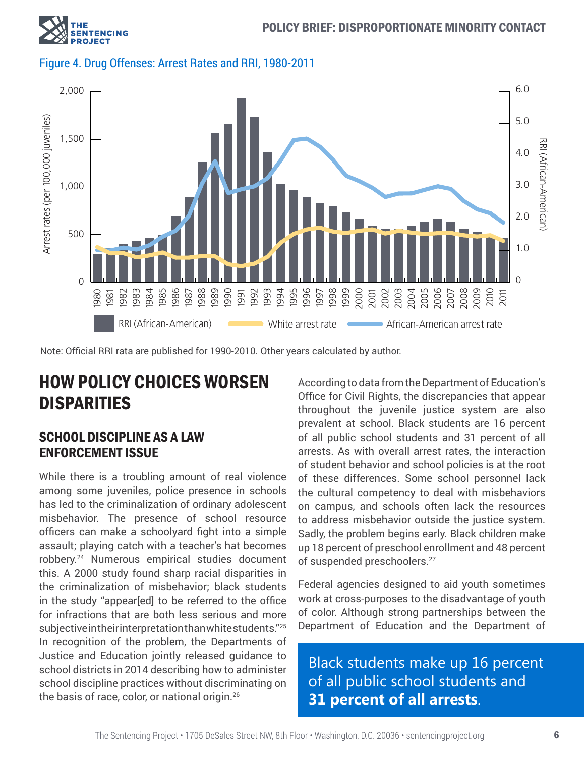

Figure 4. Drug Offenses: Arrest Rates and RRI, 1980-2011



Note: Official RRI rata are published for 1990-2010. Other years calculated by author.

## HOW POLICY CHOICES WORSEN **DISPARITIES**

#### SCHOOL DISCIPLINE AS A LAW ENFORCEMENT ISSUE

While there is a troubling amount of real violence among some juveniles, police presence in schools has led to the criminalization of ordinary adolescent misbehavior. The presence of school resource officers can make a schoolyard fight into a simple assault; playing catch with a teacher's hat becomes robbery.<sup>24</sup> Numerous empirical studies document this. A 2000 study found sharp racial disparities in the criminalization of misbehavior; black students in the study "appear[ed] to be referred to the office for infractions that are both less serious and more subjective in their interpretation than white students."25 In recognition of the problem, the Departments of Justice and Education jointly released guidance to school districts in 2014 describing how to administer school discipline practices without discriminating on the basis of race, color, or national origin.26

According to data from the Department of Education's Office for Civil Rights, the discrepancies that appear throughout the juvenile justice system are also prevalent at school. Black students are 16 percent of all public school students and 31 percent of all arrests. As with overall arrest rates, the interaction of student behavior and school policies is at the root of these differences. Some school personnel lack the cultural competency to deal with misbehaviors on campus, and schools often lack the resources to address misbehavior outside the justice system. Sadly, the problem begins early. Black children make up 18 percent of preschool enrollment and 48 percent of suspended preschoolers.<sup>27</sup>

Federal agencies designed to aid youth sometimes work at cross-purposes to the disadvantage of youth of color. Although strong partnerships between the Department of Education and the Department of

Black students make up 16 percent of all public school students and **31 percent of all arrests**.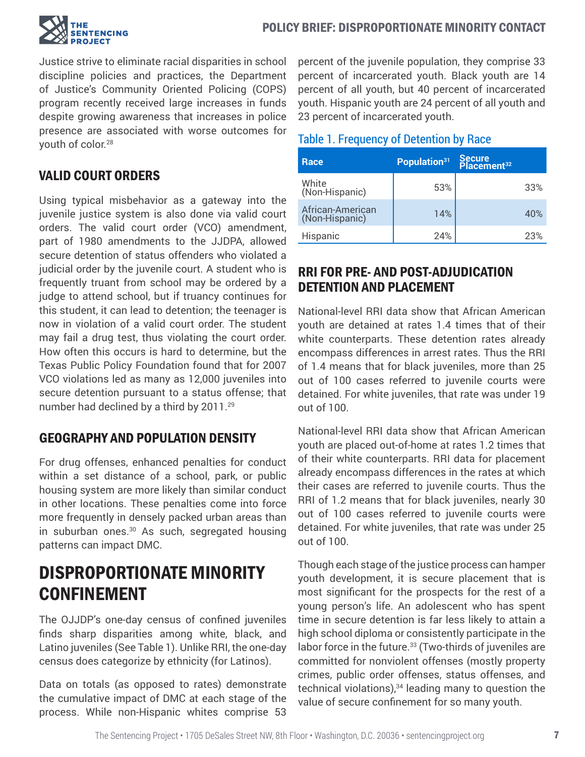

Justice strive to eliminate racial disparities in school discipline policies and practices, the Department of Justice's Community Oriented Policing (COPS) program recently received large increases in funds despite growing awareness that increases in police presence are associated with worse outcomes for youth of color.<sup>28</sup>

### VALID COURT ORDERS

Using typical misbehavior as a gateway into the juvenile justice system is also done via valid court orders. The valid court order (VCO) amendment, part of 1980 amendments to the JJDPA, allowed secure detention of status offenders who violated a judicial order by the juvenile court. A student who is frequently truant from school may be ordered by a judge to attend school, but if truancy continues for this student, it can lead to detention; the teenager is now in violation of a valid court order. The student may fail a drug test, thus violating the court order. How often this occurs is hard to determine, but the Texas Public Policy Foundation found that for 2007 VCO violations led as many as 12,000 juveniles into secure detention pursuant to a status offense; that number had declined by a third by 2011.<sup>29</sup>

### GEOGRAPHY AND POPULATION DENSITY

For drug offenses, enhanced penalties for conduct within a set distance of a school, park, or public housing system are more likely than similar conduct in other locations. These penalties come into force more frequently in densely packed urban areas than in suburban ones.<sup>30</sup> As such, segregated housing patterns can impact DMC.

# DISPROPORTIONATE MINORITY CONFINEMENT

The OJJDP's one-day census of confined juveniles finds sharp disparities among white, black, and Latino juveniles (See Table 1). Unlike RRI, the one-day census does categorize by ethnicity (for Latinos).

Data on totals (as opposed to rates) demonstrate the cumulative impact of DMC at each stage of the process. While non-Hispanic whites comprise 53

percent of the juvenile population, they comprise 33 percent of incarcerated youth. Black youth are 14 percent of all youth, but 40 percent of incarcerated youth. Hispanic youth are 24 percent of all youth and 23 percent of incarcerated youth.

#### Table 1. Frequency of Detention by Race

| Race                               | Population <sup>31</sup> | Secure<br>Placement <sup>32</sup> |
|------------------------------------|--------------------------|-----------------------------------|
| White<br>(Non-Hispanic)            | 53%                      | 33%                               |
| African-American<br>(Non-Hispanic) | 14%                      | 40%                               |
| Hispanic                           | 24%                      | 23%                               |

### RRI FOR PRE- AND POST-ADJUDICATION DETENTION AND PLACEMENT

National-level RRI data show that African American youth are detained at rates 1.4 times that of their white counterparts. These detention rates already encompass differences in arrest rates. Thus the RRI of 1.4 means that for black juveniles, more than 25 out of 100 cases referred to juvenile courts were detained. For white juveniles, that rate was under 19 out of 100.

National-level RRI data show that African American youth are placed out-of-home at rates 1.2 times that of their white counterparts. RRI data for placement already encompass differences in the rates at which their cases are referred to juvenile courts. Thus the RRI of 1.2 means that for black juveniles, nearly 30 out of 100 cases referred to juvenile courts were detained. For white juveniles, that rate was under 25 out of 100.

Though each stage of the justice process can hamper youth development, it is secure placement that is most significant for the prospects for the rest of a young person's life. An adolescent who has spent time in secure detention is far less likely to attain a high school diploma or consistently participate in the labor force in the future.<sup>33</sup> (Two-thirds of juveniles are committed for nonviolent offenses (mostly property crimes, public order offenses, status offenses, and technical violations), $34$  leading many to question the value of secure confinement for so many youth.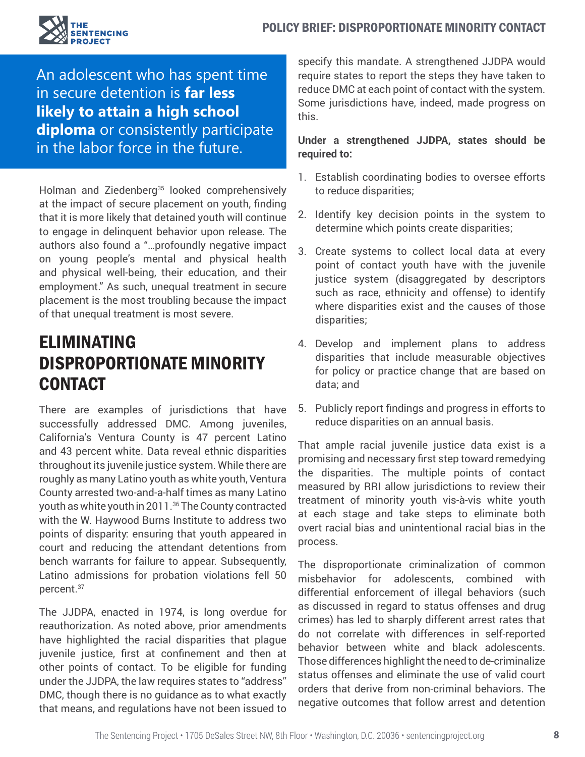

An adolescent who has spent time in secure detention is **far less likely to attain a high school diploma** or consistently participate in the labor force in the future.

Holman and Ziedenberg<sup>35</sup> looked comprehensively at the impact of secure placement on youth, finding that it is more likely that detained youth will continue to engage in delinquent behavior upon release. The authors also found a "…profoundly negative impact on young people's mental and physical health and physical well-being, their education, and their employment." As such, unequal treatment in secure placement is the most troubling because the impact of that unequal treatment is most severe.

# ELIMINATING DISPROPORTIONATE MINORITY **CONTACT**

There are examples of jurisdictions that have successfully addressed DMC. Among juveniles, California's Ventura County is 47 percent Latino and 43 percent white. Data reveal ethnic disparities throughout its juvenile justice system. While there are roughly as many Latino youth as white youth, Ventura County arrested two-and-a-half times as many Latino youth as white youth in 2011.<sup>36</sup> The County contracted with the W. Haywood Burns Institute to address two points of disparity: ensuring that youth appeared in court and reducing the attendant detentions from bench warrants for failure to appear. Subsequently, Latino admissions for probation violations fell 50 percent.<sup>37</sup>

The JJDPA, enacted in 1974, is long overdue for reauthorization. As noted above, prior amendments have highlighted the racial disparities that plague juvenile justice, first at confinement and then at other points of contact. To be eligible for funding under the JJDPA, the law requires states to "address" DMC, though there is no guidance as to what exactly that means, and regulations have not been issued to specify this mandate. A strengthened JJDPA would require states to report the steps they have taken to reduce DMC at each point of contact with the system. Some jurisdictions have, indeed, made progress on this.

#### **Under a strengthened JJDPA, states should be required to:**

- 1. Establish coordinating bodies to oversee efforts to reduce disparities;
- 2. Identify key decision points in the system to determine which points create disparities;
- 3. Create systems to collect local data at every point of contact youth have with the juvenile justice system (disaggregated by descriptors such as race, ethnicity and offense) to identify where disparities exist and the causes of those disparities;
- 4. Develop and implement plans to address disparities that include measurable objectives for policy or practice change that are based on data; and
- 5. Publicly report findings and progress in efforts to reduce disparities on an annual basis.

That ample racial juvenile justice data exist is a promising and necessary first step toward remedying the disparities. The multiple points of contact measured by RRI allow jurisdictions to review their treatment of minority youth vis-à-vis white youth at each stage and take steps to eliminate both overt racial bias and unintentional racial bias in the process.

The disproportionate criminalization of common misbehavior for adolescents, combined with differential enforcement of illegal behaviors (such as discussed in regard to status offenses and drug crimes) has led to sharply different arrest rates that do not correlate with differences in self-reported behavior between white and black adolescents. Those differences highlight the need to de-criminalize status offenses and eliminate the use of valid court orders that derive from non-criminal behaviors. The negative outcomes that follow arrest and detention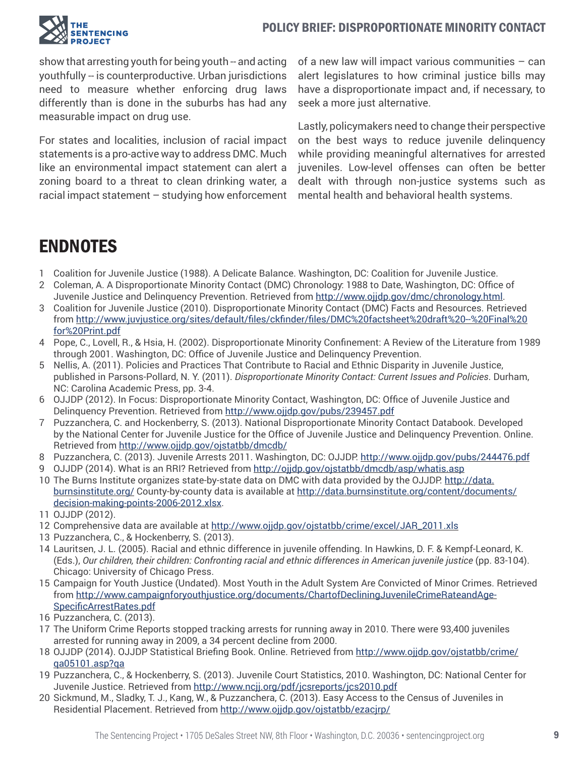

show that arresting youth for being youth -- and acting youthfully -- is counterproductive. Urban jurisdictions need to measure whether enforcing drug laws differently than is done in the suburbs has had any measurable impact on drug use.

For states and localities, inclusion of racial impact statements is a pro-active way to address DMC. Much like an environmental impact statement can alert a zoning board to a threat to clean drinking water, a racial impact statement – studying how enforcement

of a new law will impact various communities – can alert legislatures to how criminal justice bills may have a disproportionate impact and, if necessary, to seek a more just alternative.

Lastly, policymakers need to change their perspective on the best ways to reduce juvenile delinquency while providing meaningful alternatives for arrested juveniles. Low-level offenses can often be better dealt with through non-justice systems such as mental health and behavioral health systems.

# ENDNOTES

- 1 Coalition for Juvenile Justice (1988). A Delicate Balance. Washington, DC: Coalition for Juvenile Justice.
- 2 Coleman, A. A Disproportionate Minority Contact (DMC) Chronology: 1988 to Date, Washington, DC: Office of Juvenile Justice and Delinquency Prevention. Retrieved from <http://www.ojjdp.gov/dmc/chronology.html>.
- 3 Coalition for Juvenile Justice (2010). Disproportionate Minority Contact (DMC) Facts and Resources. Retrieved from [http://www.juvjustice.org/sites/default/files/ckfinder/files/DMC%20factsheet%20draft%20--%20Final%20](http://www.juvjustice.org/sites/default/files/ckfinder/files/DMC%20factsheet%20draft%20--%20Final%20for%20Print.pdf) [for%20Print.pdf](http://www.juvjustice.org/sites/default/files/ckfinder/files/DMC%20factsheet%20draft%20--%20Final%20for%20Print.pdf)
- 4 Pope, C., Lovell, R., & Hsia, H. (2002). Disproportionate Minority Confinement: A Review of the Literature from 1989 through 2001. Washington, DC: Office of Juvenile Justice and Delinquency Prevention.
- 5 Nellis, A. (2011). Policies and Practices That Contribute to Racial and Ethnic Disparity in Juvenile Justice, published in Parsons-Pollard, N. Y. (2011). *Disproportionate Minority Contact: Current Issues and Policies*. Durham, NC: Carolina Academic Press, pp. 3-4.
- 6 OJJDP (2012). In Focus: Disproportionate Minority Contact, Washington, DC: Office of Juvenile Justice and Delinquency Prevention. Retrieved from <http://www.ojjdp.gov/pubs/239457.pdf>
- 7 Puzzanchera, C. and Hockenberry, S. (2013). National Disproportionate Minority Contact Databook. Developed by the National Center for Juvenile Justice for the Office of Juvenile Justice and Delinquency Prevention. Online. Retrieved from <http://www.ojjdp.gov/ojstatbb/dmcdb/>
- 8 Puzzanchera, C. (2013). Juvenile Arrests 2011. Washington, DC: OJJDP. <http://www.ojjdp.gov/pubs/244476.pdf>
- 9 OJJDP (2014). What is an RRI? Retrieved from <http://ojjdp.gov/ojstatbb/dmcdb/asp/whatis.asp>
- 10 The Burns Institute organizes state-by-state data on DMC with data provided by the OJJDP. [http://data.](http://data.burnsinstitute.org/) [burnsinstitute.org/](http://data.burnsinstitute.org/) County-by-county data is available at [http://data.burnsinstitute.org/content/documents/](http://data.burnsinstitute.org/content/documents/decision-making-points-2006-2012.xlsx) [decision-making-points-2006-2012.xlsx](http://data.burnsinstitute.org/content/documents/decision-making-points-2006-2012.xlsx).
- 11 OJJDP (2012).
- 12 Comprehensive data are available at [http://www.ojjdp.gov/ojstatbb/crime/excel/JAR\\_2011.xls](http://www.ojjdp.gov/ojstatbb/crime/excel/JAR_2011.xls)
- 13 Puzzanchera, C., & Hockenberry, S. (2013).
- 14 Lauritsen, J. L. (2005). Racial and ethnic difference in juvenile offending. In Hawkins, D. F. & Kempf-Leonard, K. (Eds.), *Our children, their children: Confronting racial and ethnic differences in American juvenile justice* (pp. 83-104). Chicago: University of Chicago Press.
- 15 Campaign for Youth Justice (Undated). Most Youth in the Adult System Are Convicted of Minor Crimes. Retrieved from [http://www.campaignforyouthjustice.org/documents/ChartofDecliningJuvenileCrimeRateandAge-](http://www.campaignforyouthjustice.org/documents/ChartofDecliningJuvenileCrimeRateandAge-SpecificArrestRates.pdf)[SpecificArrestRates.pdf](http://www.campaignforyouthjustice.org/documents/ChartofDecliningJuvenileCrimeRateandAge-SpecificArrestRates.pdf)
- 16 Puzzanchera, C. (2013).
- 17 The Uniform Crime Reports stopped tracking arrests for running away in 2010. There were 93,400 juveniles arrested for running away in 2009, a 34 percent decline from 2000.
- 18 OJJDP (2014). OJJDP Statistical Briefing Book. Online. Retrieved from [http://www.ojjdp.gov/ojstatbb/crime/](http://www.ojjdp.gov/ojstatbb/crime/qa05101.asp?qa) [qa05101.asp?qa](http://www.ojjdp.gov/ojstatbb/crime/qa05101.asp?qa)
- 19 Puzzanchera, C., & Hockenberry, S. (2013). Juvenile Court Statistics, 2010. Washington, DC: National Center for Juvenile Justice. Retrieved from <http://www.ncjj.org/pdf/jcsreports/jcs2010.pdf>
- 20 Sickmund, M., Sladky, T. J., Kang, W., & Puzzanchera, C. (2013). Easy Access to the Census of Juveniles in Residential Placement. Retrieved from <http://www.ojjdp.gov/ojstatbb/ezacjrp/>